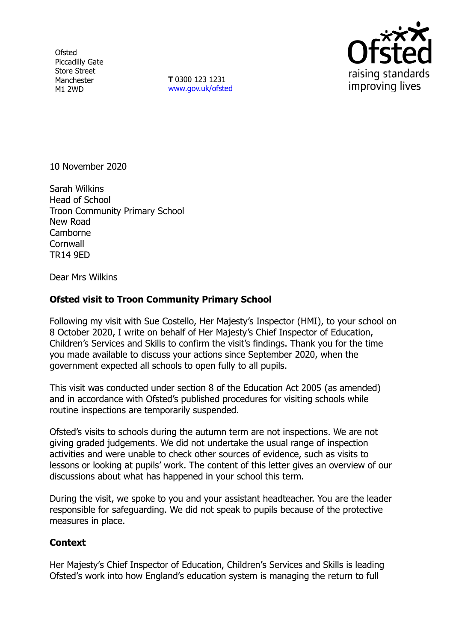**Ofsted** Piccadilly Gate Store Street Manchester M1 2WD

**T** 0300 123 1231 [www.gov.uk/ofsted](http://www.gov.uk/ofsted)



10 November 2020

Sarah Wilkins Head of School Troon Community Primary School New Road Camborne **Cornwall** TR14 9ED

Dear Mrs Wilkins

## **Ofsted visit to Troon Community Primary School**

Following my visit with Sue Costello, Her Majesty's Inspector (HMI), to your school on 8 October 2020, I write on behalf of Her Majesty's Chief Inspector of Education, Children's Services and Skills to confirm the visit's findings. Thank you for the time you made available to discuss your actions since September 2020, when the government expected all schools to open fully to all pupils.

This visit was conducted under section 8 of the Education Act 2005 (as amended) and in accordance with Ofsted's published procedures for visiting schools while routine inspections are temporarily suspended.

Ofsted's visits to schools during the autumn term are not inspections. We are not giving graded judgements. We did not undertake the usual range of inspection activities and were unable to check other sources of evidence, such as visits to lessons or looking at pupils' work. The content of this letter gives an overview of our discussions about what has happened in your school this term.

During the visit, we spoke to you and your assistant headteacher. You are the leader responsible for safeguarding. We did not speak to pupils because of the protective measures in place.

## **Context**

Her Majesty's Chief Inspector of Education, Children's Services and Skills is leading Ofsted's work into how England's education system is managing the return to full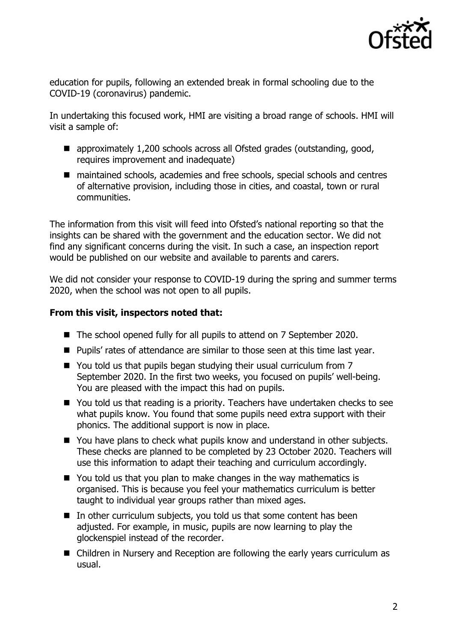

education for pupils, following an extended break in formal schooling due to the COVID-19 (coronavirus) pandemic.

In undertaking this focused work, HMI are visiting a broad range of schools. HMI will visit a sample of:

- approximately 1,200 schools across all Ofsted grades (outstanding, good, requires improvement and inadequate)
- maintained schools, academies and free schools, special schools and centres of alternative provision, including those in cities, and coastal, town or rural communities.

The information from this visit will feed into Ofsted's national reporting so that the insights can be shared with the government and the education sector. We did not find any significant concerns during the visit. In such a case, an inspection report would be published on our website and available to parents and carers.

We did not consider your response to COVID-19 during the spring and summer terms 2020, when the school was not open to all pupils.

## **From this visit, inspectors noted that:**

- The school opened fully for all pupils to attend on 7 September 2020.
- **Pupils'** rates of attendance are similar to those seen at this time last year.
- You told us that pupils began studying their usual curriculum from 7 September 2020. In the first two weeks, you focused on pupils' well-being. You are pleased with the impact this had on pupils.
- You told us that reading is a priority. Teachers have undertaken checks to see what pupils know. You found that some pupils need extra support with their phonics. The additional support is now in place.
- You have plans to check what pupils know and understand in other subjects. These checks are planned to be completed by 23 October 2020. Teachers will use this information to adapt their teaching and curriculum accordingly.
- You told us that you plan to make changes in the way mathematics is organised. This is because you feel your mathematics curriculum is better taught to individual year groups rather than mixed ages.
- $\blacksquare$  In other curriculum subjects, you told us that some content has been adjusted. For example, in music, pupils are now learning to play the glockenspiel instead of the recorder.
- Children in Nursery and Reception are following the early years curriculum as usual.